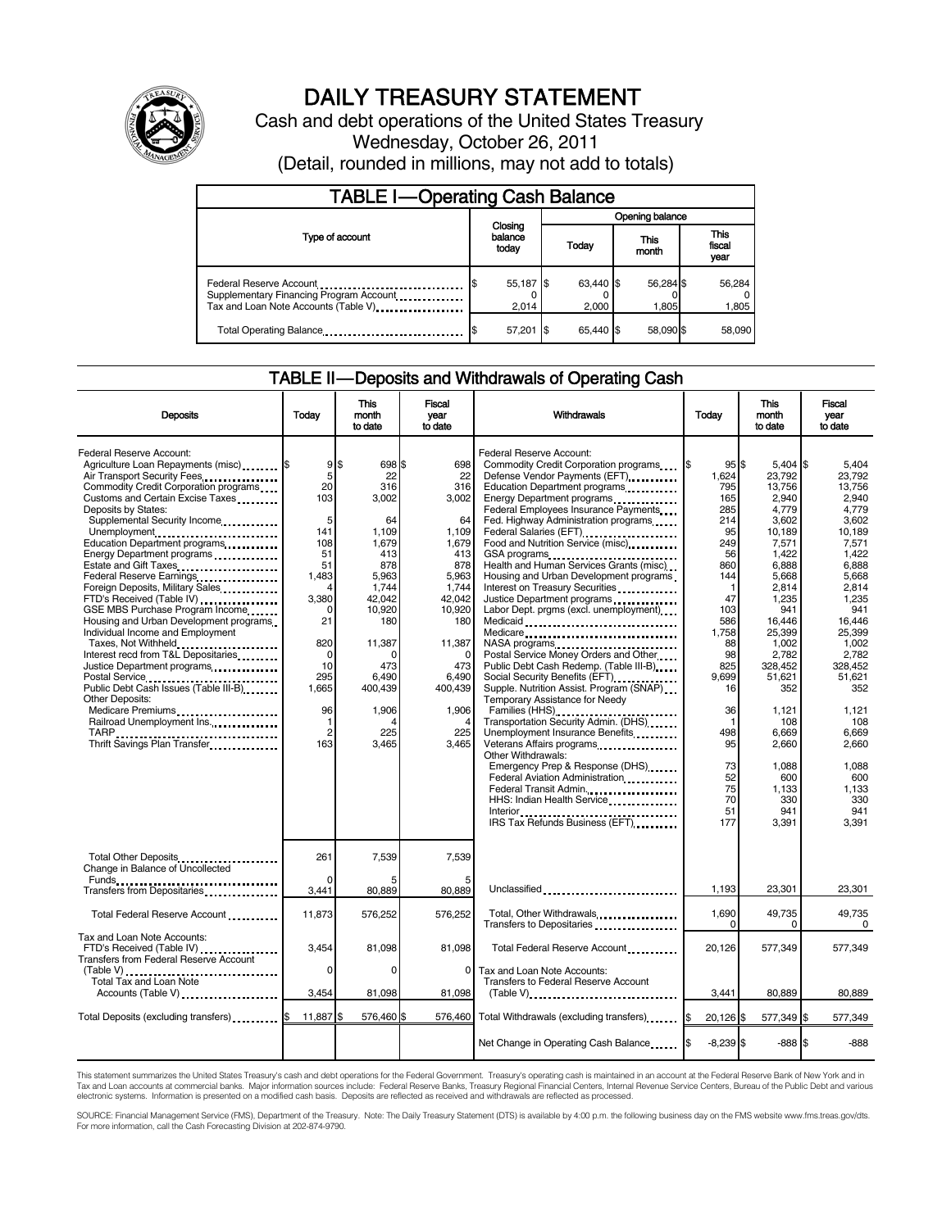

# DAILY TREASURY STATEMENT

Cash and debt operations of the United States Treasury Wednesday, October 26, 2011 (Detail, rounded in millions, may not add to totals)

| <b>TABLE I-Operating Cash Balance</b>                                                                                                                  |  |                             |                 |                    |  |                    |  |                               |  |
|--------------------------------------------------------------------------------------------------------------------------------------------------------|--|-----------------------------|-----------------|--------------------|--|--------------------|--|-------------------------------|--|
|                                                                                                                                                        |  |                             | Opening balance |                    |  |                    |  |                               |  |
| Type of account                                                                                                                                        |  | Closing<br>balance<br>today |                 | Today              |  | This<br>month      |  | <b>This</b><br>fiscal<br>year |  |
| Federal Reserve Account<br>Supplementary Financing Program Account<br>Tax and Loan Note Accounts (Table V) <b>Tax and Loan Note Accounts</b> (Table V) |  | 55,187 \$<br>2.014          |                 | 63,440 \$<br>2,000 |  | 56,284 \$<br>1.805 |  | 56,284<br>1,805               |  |
| Total Operating Balance                                                                                                                                |  | 57,201                      | - IS            | 65.440 \$          |  | 58.090 \$          |  | 58.090                        |  |

# TABLE II — Deposits and Withdrawals of Operating Cash

| <b>Deposits</b>                                                                                                                                                                                                                                                                                                                                                                                                                                                                                                                                                                                                                                                                                                                                                                                                                  | Todav                                                                                                                                                               | <b>This</b><br>month<br>to date                                                                                                                                                         | <b>Fiscal</b><br>year<br>to date                                                                                                                                                                         | Withdrawals                                                                                                                                                                                                                                                                                                                                                                                                                                                                                                                                                                                                                                                                                                                                                                                                                                                                                                                                                                                                                                                                                                                                                                                                                                                                                                                                                               | <b>This</b><br>Today<br>month<br>to date                                                                                                                                                                          |                                                                                                                                                                                                                                                                                      | Fiscal<br>vear<br>to date                                                                                                                                                                                                                                                       |
|----------------------------------------------------------------------------------------------------------------------------------------------------------------------------------------------------------------------------------------------------------------------------------------------------------------------------------------------------------------------------------------------------------------------------------------------------------------------------------------------------------------------------------------------------------------------------------------------------------------------------------------------------------------------------------------------------------------------------------------------------------------------------------------------------------------------------------|---------------------------------------------------------------------------------------------------------------------------------------------------------------------|-----------------------------------------------------------------------------------------------------------------------------------------------------------------------------------------|----------------------------------------------------------------------------------------------------------------------------------------------------------------------------------------------------------|---------------------------------------------------------------------------------------------------------------------------------------------------------------------------------------------------------------------------------------------------------------------------------------------------------------------------------------------------------------------------------------------------------------------------------------------------------------------------------------------------------------------------------------------------------------------------------------------------------------------------------------------------------------------------------------------------------------------------------------------------------------------------------------------------------------------------------------------------------------------------------------------------------------------------------------------------------------------------------------------------------------------------------------------------------------------------------------------------------------------------------------------------------------------------------------------------------------------------------------------------------------------------------------------------------------------------------------------------------------------------|-------------------------------------------------------------------------------------------------------------------------------------------------------------------------------------------------------------------|--------------------------------------------------------------------------------------------------------------------------------------------------------------------------------------------------------------------------------------------------------------------------------------|---------------------------------------------------------------------------------------------------------------------------------------------------------------------------------------------------------------------------------------------------------------------------------|
| Federal Reserve Account:<br>Agriculture Loan Repayments (misc) [\$<br>Air Transport Security Fees<br>Commodity Credit Corporation programs<br>Customs and Certain Excise Taxes<br>Deposits by States:<br>Supplemental Security Income<br>Unemployment<br>Education Department programs<br>Energy Department programs<br>Estate and Gift Taxes<br>Federal Reserve Earnings<br>Foreign Deposits, Military Sales<br>FTD's Received (Table IV)<br>GSE MBS Purchase Program Income<br>Housing and Urban Development programs<br>Individual Income and Employment<br>Taxes, Not Withheld<br>Interest recd from T&L Depositaries<br>Justice Department programs<br>Postal Service<br>Public Debt Cash Issues (Table III-B)<br><b>Other Deposits:</b><br>Medicare Premiums<br>Railroad Unemployment Ins.<br>Thrift Savings Plan Transfer | 9\$<br>5<br>20<br>103<br>5<br>141<br>108<br>51<br>51<br>1.483<br>Δ<br>3.380<br>0<br>21<br>820<br>$\Omega$<br>10<br>295<br>1.665<br>96<br>1<br>$\overline{2}$<br>163 | 698 \$<br>22<br>316<br>3.002<br>64<br>1,109<br>1,679<br>413<br>878<br>5.963<br>1.744<br>42.042<br>10,920<br>180<br>11,387<br>0<br>473<br>6.490<br>400.439<br>1,906<br>4<br>225<br>3.465 | 698<br>22<br>316<br>3.002<br>64<br>1,109<br>1,679<br>413<br>878<br>5.963<br>1.744<br>42.042<br>10,920<br>180<br>11,387<br>$\Omega$<br>473<br>6,490<br>400.439<br>1,906<br>$\overline{4}$<br>225<br>3.465 | Federal Reserve Account:<br>Commodity Credit Corporation programs<br>Defense Vendor Payments (EFT)<br>Education Department programs<br>Federal Employees Insurance Payments<br>Fed. Highway Administration programs<br>Federal Salaries (EFT)<br>Food and Nutrition Service (misc)<br>Health and Human Services Grants (misc)<br>Housing and Urban Development programs<br>Interest on Treasury Securities<br>Justice Department programs<br>Labor Dept. prgms (excl. unemployment)<br>Medicaid<br>Medicare<br>NASA programs<br>Postal Service Money Orders and Other<br>Public Debt Cash Redemp. (Table III-B)<br>Social Security Benefits (EFT)<br>1991 - The Social Security Benefits (EFT)<br>Supple. Nutrition Assist. Program (SNAP)<br>Temporary Assistance for Needy<br>Families (HHS)<br>Transportation Security Admin. (DHS)<br>Unemployment Insurance Benefits<br>Other Withdrawals:<br>Emergency Prep & Response (DHS)<br>Federal Aviation Administration<br>Federal Transit Admin.<br>HHS: Indian Health Service<br>Interior $\frac{1}{2}$ . $\frac{1}{2}$ . $\frac{1}{2}$ . $\frac{1}{2}$ . $\frac{1}{2}$ . $\frac{1}{2}$ . $\frac{1}{2}$ . $\frac{1}{2}$ . $\frac{1}{2}$ . $\frac{1}{2}$ . $\frac{1}{2}$ . $\frac{1}{2}$ . $\frac{1}{2}$ . $\frac{1}{2}$ . $\frac{1}{2}$ . $\frac{1}{2}$ . $\frac{1}{2}$ . $\frac{1}{2}$<br>IRS Tax Refunds Business (EFT) | I\$<br>95S<br>1.624<br>795<br>165<br>285<br>214<br>95<br>249<br>56<br>860<br>144<br>1<br>47<br>103<br>586<br>1,758<br>88<br>98<br>825<br>9.699<br>16<br>36<br>1<br>498<br>95<br>73<br>52<br>75<br>70<br>51<br>177 | $5,404$ \$<br>23.792<br>13,756<br>2,940<br>4,779<br>3,602<br>10,189<br>7,571<br>1,422<br>6.888<br>5.668<br>2.814<br>1.235<br>941<br>16,446<br>25,399<br>1.002<br>2,782<br>328.452<br>51.621<br>352<br>1,121<br>108<br>6,669<br>2,660<br>1,088<br>600<br>1,133<br>330<br>941<br>3,391 | 5.404<br>23.792<br>13.756<br>2.940<br>4,779<br>3,602<br>10,189<br>7,571<br>1.422<br>6.888<br>5.668<br>2.814<br>1.235<br>941<br>16.446<br>25.399<br>1.002<br>2,782<br>328.452<br>51.621<br>352<br>1,121<br>108<br>6,669<br>2,660<br>1.088<br>600<br>1,133<br>330<br>941<br>3.391 |
| Total Other Deposits<br>Change in Balance of Uncollected                                                                                                                                                                                                                                                                                                                                                                                                                                                                                                                                                                                                                                                                                                                                                                         | 261<br><sup>0</sup>                                                                                                                                                 | 7,539                                                                                                                                                                                   | 7,539                                                                                                                                                                                                    |                                                                                                                                                                                                                                                                                                                                                                                                                                                                                                                                                                                                                                                                                                                                                                                                                                                                                                                                                                                                                                                                                                                                                                                                                                                                                                                                                                           |                                                                                                                                                                                                                   |                                                                                                                                                                                                                                                                                      |                                                                                                                                                                                                                                                                                 |
| Transfers from Depositaries                                                                                                                                                                                                                                                                                                                                                                                                                                                                                                                                                                                                                                                                                                                                                                                                      | 3,441                                                                                                                                                               | 80.889                                                                                                                                                                                  | 80.889                                                                                                                                                                                                   | Unclassified                                                                                                                                                                                                                                                                                                                                                                                                                                                                                                                                                                                                                                                                                                                                                                                                                                                                                                                                                                                                                                                                                                                                                                                                                                                                                                                                                              | 1,193                                                                                                                                                                                                             | 23,301                                                                                                                                                                                                                                                                               | 23,301                                                                                                                                                                                                                                                                          |
| Total Federal Reserve Account                                                                                                                                                                                                                                                                                                                                                                                                                                                                                                                                                                                                                                                                                                                                                                                                    | 11.873                                                                                                                                                              | 576,252                                                                                                                                                                                 | 576.252                                                                                                                                                                                                  | Total, Other Withdrawals                                                                                                                                                                                                                                                                                                                                                                                                                                                                                                                                                                                                                                                                                                                                                                                                                                                                                                                                                                                                                                                                                                                                                                                                                                                                                                                                                  | 1.690<br>$\Omega$                                                                                                                                                                                                 | 49,735<br>$\Omega$                                                                                                                                                                                                                                                                   | 49.735<br>0                                                                                                                                                                                                                                                                     |
| Tax and Loan Note Accounts:<br>FTD's Received (Table IV)<br>Transfers from Federal Reserve Account                                                                                                                                                                                                                                                                                                                                                                                                                                                                                                                                                                                                                                                                                                                               | 3,454<br>0                                                                                                                                                          | 81,098<br>0                                                                                                                                                                             | 81,098<br>0                                                                                                                                                                                              | Total Federal Reserve Account<br>Tax and Loan Note Accounts:                                                                                                                                                                                                                                                                                                                                                                                                                                                                                                                                                                                                                                                                                                                                                                                                                                                                                                                                                                                                                                                                                                                                                                                                                                                                                                              | 20,126                                                                                                                                                                                                            | 577,349                                                                                                                                                                                                                                                                              | 577,349                                                                                                                                                                                                                                                                         |
| Accounts (Table V)                                                                                                                                                                                                                                                                                                                                                                                                                                                                                                                                                                                                                                                                                                                                                                                                               | 3,454                                                                                                                                                               | 81,098                                                                                                                                                                                  | 81,098                                                                                                                                                                                                   | <b>Transfers to Federal Reserve Account</b><br>$(Table V)$ ,                                                                                                                                                                                                                                                                                                                                                                                                                                                                                                                                                                                                                                                                                                                                                                                                                                                                                                                                                                                                                                                                                                                                                                                                                                                                                                              | 3,441                                                                                                                                                                                                             | 80,889                                                                                                                                                                                                                                                                               | 80,889                                                                                                                                                                                                                                                                          |
| Total Deposits (excluding transfers) <b>S</b>                                                                                                                                                                                                                                                                                                                                                                                                                                                                                                                                                                                                                                                                                                                                                                                    | 11.887 \$                                                                                                                                                           | 576,460 \$                                                                                                                                                                              | 576.460                                                                                                                                                                                                  | Total Withdrawals (excluding transfers) [\$                                                                                                                                                                                                                                                                                                                                                                                                                                                                                                                                                                                                                                                                                                                                                                                                                                                                                                                                                                                                                                                                                                                                                                                                                                                                                                                               | 20,126 \$                                                                                                                                                                                                         | 577,349 \$                                                                                                                                                                                                                                                                           | 577,349                                                                                                                                                                                                                                                                         |
|                                                                                                                                                                                                                                                                                                                                                                                                                                                                                                                                                                                                                                                                                                                                                                                                                                  |                                                                                                                                                                     |                                                                                                                                                                                         |                                                                                                                                                                                                          |                                                                                                                                                                                                                                                                                                                                                                                                                                                                                                                                                                                                                                                                                                                                                                                                                                                                                                                                                                                                                                                                                                                                                                                                                                                                                                                                                                           |                                                                                                                                                                                                                   |                                                                                                                                                                                                                                                                                      |                                                                                                                                                                                                                                                                                 |
|                                                                                                                                                                                                                                                                                                                                                                                                                                                                                                                                                                                                                                                                                                                                                                                                                                  |                                                                                                                                                                     |                                                                                                                                                                                         |                                                                                                                                                                                                          | Net Change in Operating Cash Balance                                                                                                                                                                                                                                                                                                                                                                                                                                                                                                                                                                                                                                                                                                                                                                                                                                                                                                                                                                                                                                                                                                                                                                                                                                                                                                                                      | $-8,239$ \$<br>I\$                                                                                                                                                                                                | $-888S$                                                                                                                                                                                                                                                                              | $-888$                                                                                                                                                                                                                                                                          |

This statement summarizes the United States Treasury's cash and debt operations for the Federal Government. Treasury's operating cash is maintained in an account at the Federal Reserve Bank of New York and in<br>Tax and Loan

SOURCE: Financial Management Service (FMS), Department of the Treasury. Note: The Daily Treasury Statement (DTS) is available by 4:00 p.m. the following business day on the FMS website www.fms.treas.gov/dts.<br>For more infor